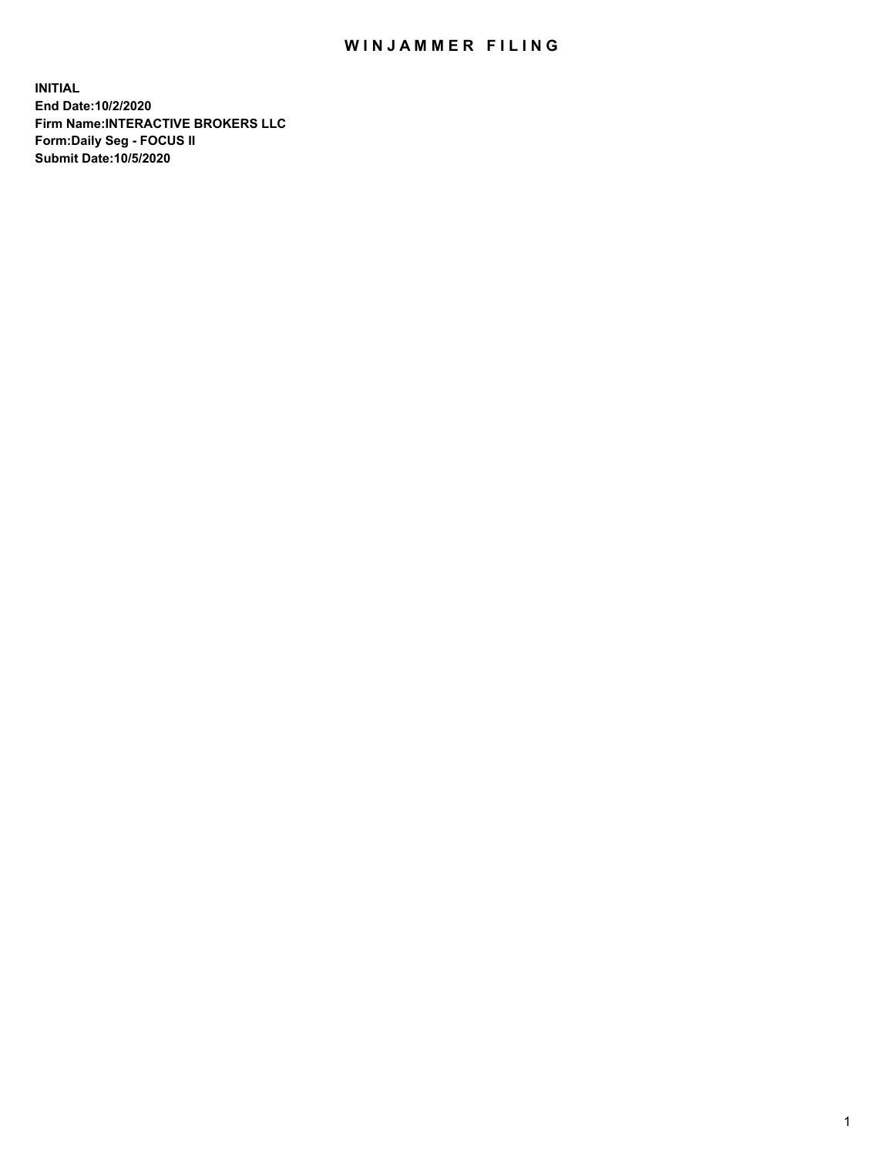## WIN JAMMER FILING

**INITIAL End Date:10/2/2020 Firm Name:INTERACTIVE BROKERS LLC Form:Daily Seg - FOCUS II Submit Date:10/5/2020**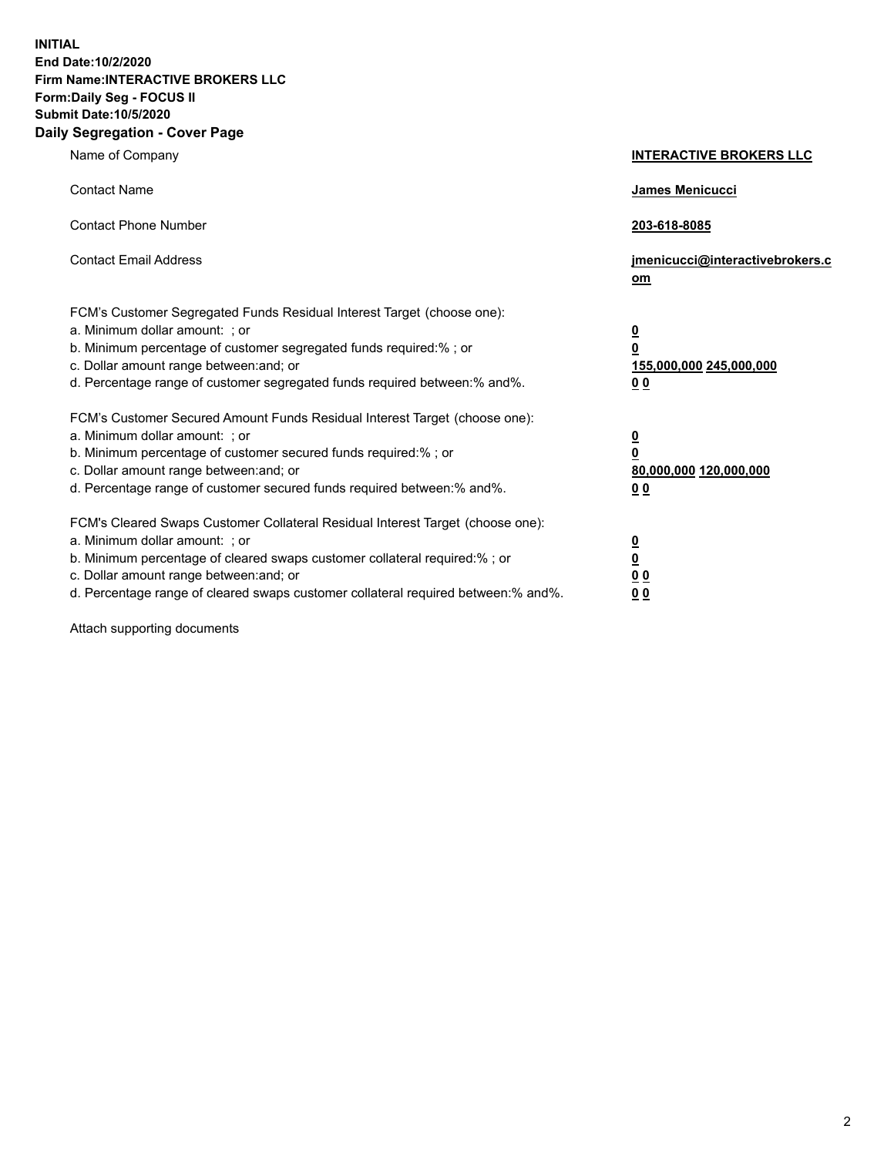**INITIAL End Date:10/2/2020 Firm Name:INTERACTIVE BROKERS LLC Form:Daily Seg - FOCUS II Submit Date:10/5/2020 Daily Segregation - Cover Page**

| Name of Company                                                                                                                                                                                                                                                                                                               | <b>INTERACTIVE BROKERS LLC</b>                                                   |  |
|-------------------------------------------------------------------------------------------------------------------------------------------------------------------------------------------------------------------------------------------------------------------------------------------------------------------------------|----------------------------------------------------------------------------------|--|
| <b>Contact Name</b>                                                                                                                                                                                                                                                                                                           | James Menicucci                                                                  |  |
| <b>Contact Phone Number</b>                                                                                                                                                                                                                                                                                                   | 203-618-8085                                                                     |  |
| <b>Contact Email Address</b>                                                                                                                                                                                                                                                                                                  | jmenicucci@interactivebrokers.c<br>om                                            |  |
| FCM's Customer Segregated Funds Residual Interest Target (choose one):<br>a. Minimum dollar amount: ; or<br>b. Minimum percentage of customer segregated funds required:% ; or<br>c. Dollar amount range between: and; or<br>d. Percentage range of customer segregated funds required between:% and%.                        | <u>0</u><br>$\overline{\mathbf{0}}$<br>155,000,000 245,000,000<br>0 <sub>0</sub> |  |
| FCM's Customer Secured Amount Funds Residual Interest Target (choose one):<br>a. Minimum dollar amount: ; or<br>b. Minimum percentage of customer secured funds required:%; or<br>c. Dollar amount range between: and; or<br>d. Percentage range of customer secured funds required between:% and%.                           | <u>0</u><br>$\overline{\mathbf{0}}$<br>80,000,000 120,000,000<br>0 <sub>0</sub>  |  |
| FCM's Cleared Swaps Customer Collateral Residual Interest Target (choose one):<br>a. Minimum dollar amount: ; or<br>b. Minimum percentage of cleared swaps customer collateral required:%; or<br>c. Dollar amount range between: and; or<br>d. Percentage range of cleared swaps customer collateral required between:% and%. | <u>0</u><br>$\underline{\mathbf{0}}$<br>0 <sub>0</sub><br>0 <sub>0</sub>         |  |

Attach supporting documents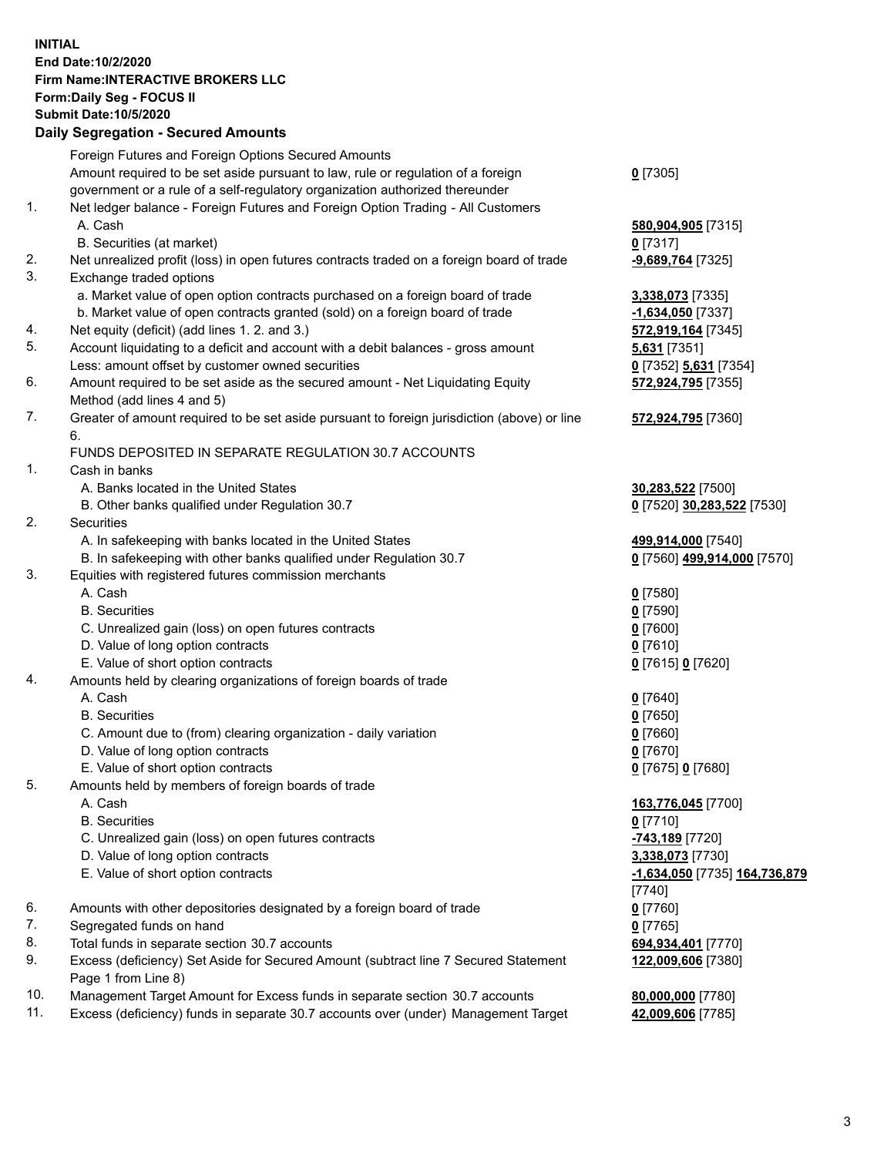**INITIAL End Date:10/2/2020 Firm Name:INTERACTIVE BROKERS LLC Form:Daily Seg - FOCUS II Submit Date:10/5/2020 Daily Segregation - Secured Amounts**

## Foreign Futures and Foreign Options Secured Amounts Amount required to be set aside pursuant to law, rule or regulation of a foreign government or a rule of a self-regulatory organization authorized thereunder **0** [7305] 1. Net ledger balance - Foreign Futures and Foreign Option Trading - All Customers A. Cash **580,904,905** [7315] B. Securities (at market) **0** [7317] 2. Net unrealized profit (loss) in open futures contracts traded on a foreign board of trade **-9,689,764** [7325] 3. Exchange traded options a. Market value of open option contracts purchased on a foreign board of trade **3,338,073** [7335] b. Market value of open contracts granted (sold) on a foreign board of trade **-1,634,050** [7337] 4. Net equity (deficit) (add lines 1. 2. and 3.) **572,919,164** [7345] 5. Account liquidating to a deficit and account with a debit balances - gross amount **5,631** [7351] Less: amount offset by customer owned securities **0** [7352] **5,631** [7354] 6. Amount required to be set aside as the secured amount - Net Liquidating Equity Method (add lines 4 and 5) **572,924,795** [7355] 7. Greater of amount required to be set aside pursuant to foreign jurisdiction (above) or line 6. **572,924,795** [7360] FUNDS DEPOSITED IN SEPARATE REGULATION 30.7 ACCOUNTS 1. Cash in banks A. Banks located in the United States **30,283,522** [7500] B. Other banks qualified under Regulation 30.7 **0** [7520] **30,283,522** [7530] 2. Securities A. In safekeeping with banks located in the United States **499,914,000** [7540] B. In safekeeping with other banks qualified under Regulation 30.7 **0** [7560] **499,914,000** [7570] 3. Equities with registered futures commission merchants A. Cash **0** [7580] B. Securities **0** [7590] C. Unrealized gain (loss) on open futures contracts **0** [7600] D. Value of long option contracts **0** [7610] E. Value of short option contracts **0** [7615] **0** [7620] 4. Amounts held by clearing organizations of foreign boards of trade A. Cash **0** [7640] B. Securities **0** [7650] C. Amount due to (from) clearing organization - daily variation **0** [7660] D. Value of long option contracts **0** [7670] E. Value of short option contracts **0** [7675] **0** [7680] 5. Amounts held by members of foreign boards of trade A. Cash **163,776,045** [7700] B. Securities **0** [7710] C. Unrealized gain (loss) on open futures contracts **-743,189** [7720] D. Value of long option contracts **3,338,073** [7730] E. Value of short option contracts **-1,634,050** [7735] **164,736,879** [7740] 6. Amounts with other depositories designated by a foreign board of trade **0** [7760] 7. Segregated funds on hand **0** [7765] 8. Total funds in separate section 30.7 accounts **694,934,401** [7770] 9. Excess (deficiency) Set Aside for Secured Amount (subtract line 7 Secured Statement Page 1 from Line 8) **122,009,606** [7380] 10. Management Target Amount for Excess funds in separate section 30.7 accounts **80,000,000** [7780] 11. Excess (deficiency) funds in separate 30.7 accounts over (under) Management Target **42,009,606** [7785]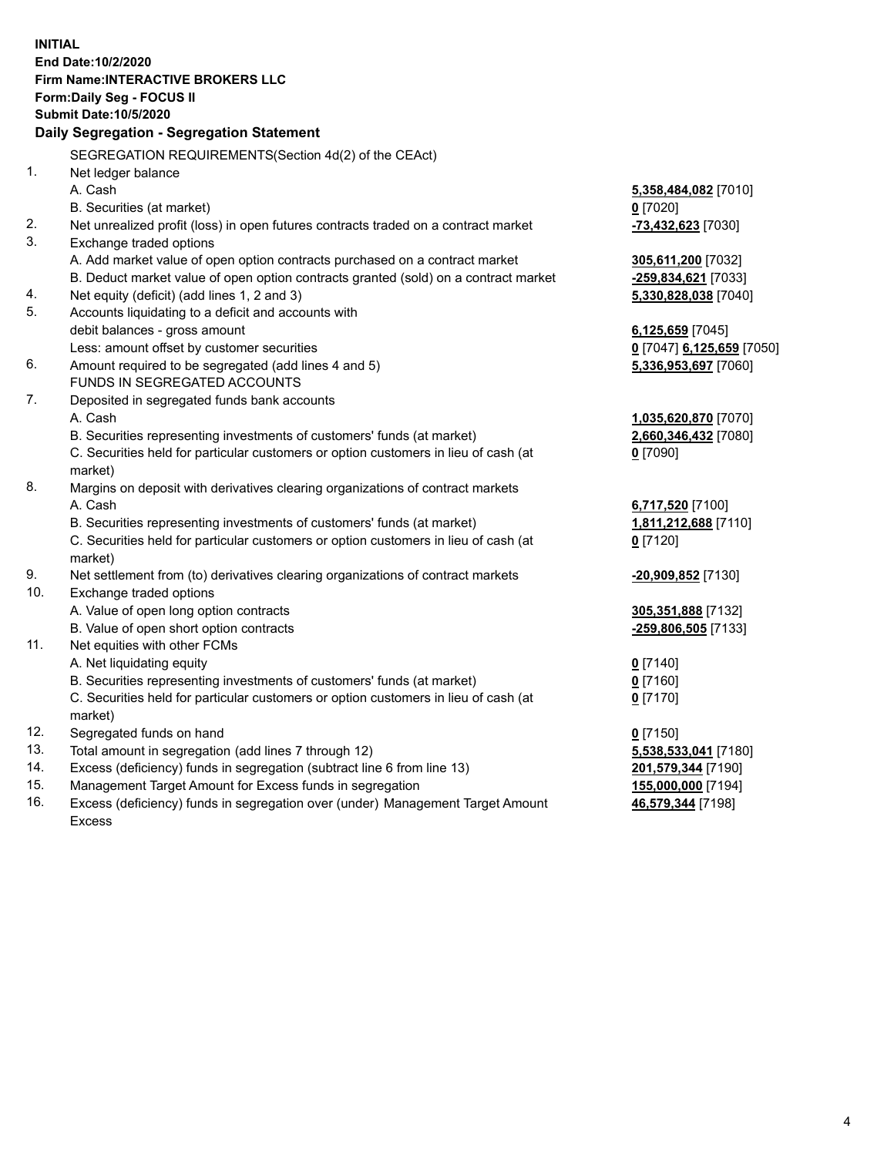**INITIAL End Date:10/2/2020 Firm Name:INTERACTIVE BROKERS LLC Form:Daily Seg - FOCUS II Submit Date:10/5/2020 Daily Segregation - Segregation Statement** SEGREGATION REQUIREMENTS(Section 4d(2) of the CEAct) 1. Net ledger balance A. Cash **5,358,484,082** [7010] B. Securities (at market) **0** [7020] 2. Net unrealized profit (loss) in open futures contracts traded on a contract market **-73,432,623** [7030] 3. Exchange traded options A. Add market value of open option contracts purchased on a contract market **305,611,200** [7032] B. Deduct market value of open option contracts granted (sold) on a contract market **-259,834,621** [7033] 4. Net equity (deficit) (add lines 1, 2 and 3) **5,330,828,038** [7040] 5. Accounts liquidating to a deficit and accounts with debit balances - gross amount **6,125,659** [7045] Less: amount offset by customer securities **0** [7047] **6,125,659** [7050] 6. Amount required to be segregated (add lines 4 and 5) **5,336,953,697** [7060] FUNDS IN SEGREGATED ACCOUNTS 7. Deposited in segregated funds bank accounts A. Cash **1,035,620,870** [7070] B. Securities representing investments of customers' funds (at market) **2,660,346,432** [7080] C. Securities held for particular customers or option customers in lieu of cash (at market) **0** [7090] 8. Margins on deposit with derivatives clearing organizations of contract markets A. Cash **6,717,520** [7100] B. Securities representing investments of customers' funds (at market) **1,811,212,688** [7110] C. Securities held for particular customers or option customers in lieu of cash (at market) **0** [7120] 9. Net settlement from (to) derivatives clearing organizations of contract markets **-20,909,852** [7130] 10. Exchange traded options A. Value of open long option contracts **305,351,888** [7132] B. Value of open short option contracts **-259,806,505** [7133] 11. Net equities with other FCMs A. Net liquidating equity **0** [7140] B. Securities representing investments of customers' funds (at market) **0** [7160] C. Securities held for particular customers or option customers in lieu of cash (at market) **0** [7170] 12. Segregated funds on hand **0** [7150] 13. Total amount in segregation (add lines 7 through 12) **5,538,533,041** [7180] 14. Excess (deficiency) funds in segregation (subtract line 6 from line 13) **201,579,344** [7190] 15. Management Target Amount for Excess funds in segregation **155,000,000** [7194] 16. Excess (deficiency) funds in segregation over (under) Management Target Amount **46,579,344** [7198]

Excess